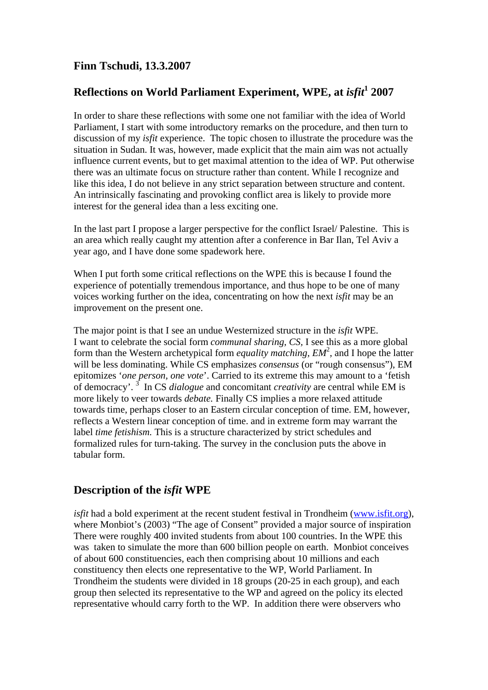## **Finn Tschudi, 13.3.2007**

# **Reflections on World Parliament Experiment, WPE, at** *isfit***<sup>1</sup> 2007**

In order to share these reflections with some one not familiar with the idea of World Parliament, I start with some introductory remarks on the procedure, and then turn to discussion of my *isfit* experience. The topic chosen to illustrate the procedure was the situation in Sudan. It was, however, made explicit that the main aim was not actually influence current events, but to get maximal attention to the idea of WP. Put otherwise there was an ultimate focus on structure rather than content. While I recognize and like this idea, I do not believe in any strict separation between structure and content. An intrinsically fascinating and provoking conflict area is likely to provide more interest for the general idea than a less exciting one.

In the last part I propose a larger perspective for the conflict Israel/ Palestine. This is an area which really caught my attention after a conference in Bar Ilan, Tel Aviv a year ago, and I have done some spadework here.

When I put forth some critical reflections on the WPE this is because I found the experience of potentially tremendous importance, and thus hope to be one of many voices working further on the idea, concentrating on how the next *isfit* may be an improvement on the present one.

The major point is that I see an undue Westernized structure in the *isfit* WPE. I want to celebrate the social form *communal sharing, CS,* I see this as a more global form than the Western archetypical form *equality matching, EM<sup>2</sup>*, and I hope the latter will be less dominating. While CS emphasizes *consensus* (or "rough consensus"), EM epitomizes '*one person, one vote*'. Carried to its extreme this may amount to a 'fetish of democracy'. 3 In CS *dialogue* and concomitant *creativity* are central while EM is more likely to veer towards *debate.* Finally CS implies a more relaxed attitude towards time, perhaps closer to an Eastern circular conception of time. EM, however, reflects a Western linear conception of time. and in extreme form may warrant the label *time fetishism.* This is a structure characterized by strict schedules and formalized rules for turn-taking. The survey in the conclusion puts the above in tabular form.

## **Description of the** *isfit* **WPE**

*isfit* had a bold experiment at the recent student festival in Trondheim (www.isfit.org), where Monbiot's (2003) "The age of Consent" provided a major source of inspiration There were roughly 400 invited students from about 100 countries. In the WPE this was taken to simulate the more than 600 billion people on earth. Monbiot conceives of about 600 constituencies, each then comprising about 10 millions and each constituency then elects one representative to the WP, World Parliament. In Trondheim the students were divided in 18 groups (20-25 in each group), and each group then selected its representative to the WP and agreed on the policy its elected representative whould carry forth to the WP. In addition there were observers who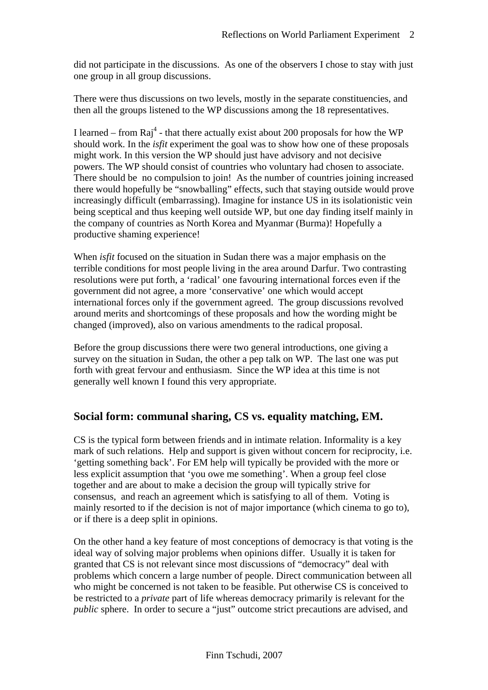did not participate in the discussions. As one of the observers I chose to stay with just one group in all group discussions.

There were thus discussions on two levels, mostly in the separate constituencies, and then all the groups listened to the WP discussions among the 18 representatives.

I learned – from  $\text{Raj}^4$  - that there actually exist about 200 proposals for how the WP should work. In the *isfit* experiment the goal was to show how one of these proposals might work. In this version the WP should just have advisory and not decisive powers. The WP should consist of countries who voluntary had chosen to associate. There should be no compulsion to join! As the number of countries joining increased there would hopefully be "snowballing" effects, such that staying outside would prove increasingly difficult (embarrassing). Imagine for instance US in its isolationistic vein being sceptical and thus keeping well outside WP, but one day finding itself mainly in the company of countries as North Korea and Myanmar (Burma)! Hopefully a productive shaming experience!

When *isfit* focused on the situation in Sudan there was a major emphasis on the terrible conditions for most people living in the area around Darfur. Two contrasting resolutions were put forth, a 'radical' one favouring international forces even if the government did not agree, a more 'conservative' one which would accept international forces only if the government agreed. The group discussions revolved around merits and shortcomings of these proposals and how the wording might be changed (improved), also on various amendments to the radical proposal.

Before the group discussions there were two general introductions, one giving a survey on the situation in Sudan, the other a pep talk on WP. The last one was put forth with great fervour and enthusiasm. Since the WP idea at this time is not generally well known I found this very appropriate.

## **Social form: communal sharing, CS vs. equality matching, EM.**

CS is the typical form between friends and in intimate relation. Informality is a key mark of such relations. Help and support is given without concern for reciprocity, i.e. 'getting something back'. For EM help will typically be provided with the more or less explicit assumption that 'you owe me something'. When a group feel close together and are about to make a decision the group will typically strive for consensus, and reach an agreement which is satisfying to all of them. Voting is mainly resorted to if the decision is not of major importance (which cinema to go to), or if there is a deep split in opinions.

On the other hand a key feature of most conceptions of democracy is that voting is the ideal way of solving major problems when opinions differ. Usually it is taken for granted that CS is not relevant since most discussions of "democracy" deal with problems which concern a large number of people. Direct communication between all who might be concerned is not taken to be feasible. Put otherwise CS is conceived to be restricted to a *private* part of life whereas democracy primarily is relevant for the *public* sphere. In order to secure a "just" outcome strict precautions are advised, and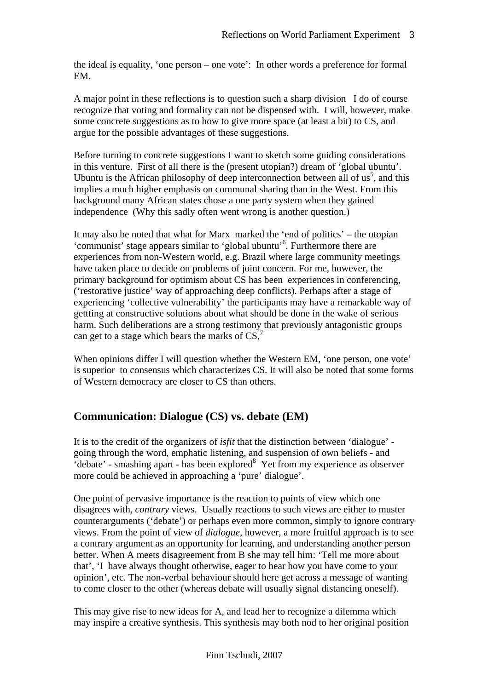the ideal is equality, 'one person – one vote': In other words a preference for formal EM.

A major point in these reflections is to question such a sharp division I do of course recognize that voting and formality can not be dispensed with. I will, however, make some concrete suggestions as to how to give more space (at least a bit) to CS, and argue for the possible advantages of these suggestions.

Before turning to concrete suggestions I want to sketch some guiding considerations in this venture. First of all there is the (present utopian?) dream of 'global ubuntu'. Ubuntu is the African philosophy of deep interconnection between all of  $us^5$ , and this implies a much higher emphasis on communal sharing than in the West. From this background many African states chose a one party system when they gained independence (Why this sadly often went wrong is another question.)

It may also be noted that what for Marx marked the 'end of politics' – the utopian 'communist' stage appears similar to 'global ubuntu'<sup>6</sup>. Furthermore there are experiences from non-Western world, e.g. Brazil where large community meetings have taken place to decide on problems of joint concern. For me, however, the primary background for optimism about CS has been experiences in conferencing, ('restorative justice' way of approaching deep conflicts). Perhaps after a stage of experiencing 'collective vulnerability' the participants may have a remarkable way of gettting at constructive solutions about what should be done in the wake of serious harm. Such deliberations are a strong testimony that previously antagonistic groups can get to a stage which bears the marks of  $CS$ ,<sup>7</sup>

When opinions differ I will question whether the Western EM, 'one person, one vote' is superior to consensus which characterizes CS. It will also be noted that some forms of Western democracy are closer to CS than others.

# **Communication: Dialogue (CS) vs. debate (EM)**

It is to the credit of the organizers of *isfit* that the distinction between 'dialogue' going through the word, emphatic listening, and suspension of own beliefs - and 'debate' - smashing apart - has been explored<sup>8</sup> Yet from my experience as observer more could be achieved in approaching a 'pure' dialogue'.

One point of pervasive importance is the reaction to points of view which one disagrees with, *contrary* views. Usually reactions to such views are either to muster counterarguments ('debate') or perhaps even more common, simply to ignore contrary views. From the point of view of *dialogue,* however, a more fruitful approach is to see a contrary argument as an opportunity for learning, and understanding another person better. When A meets disagreement from B she may tell him: 'Tell me more about that', 'I have always thought otherwise, eager to hear how you have come to your opinion', etc. The non-verbal behaviour should here get across a message of wanting to come closer to the other (whereas debate will usually signal distancing oneself).

This may give rise to new ideas for A, and lead her to recognize a dilemma which may inspire a creative synthesis. This synthesis may both nod to her original position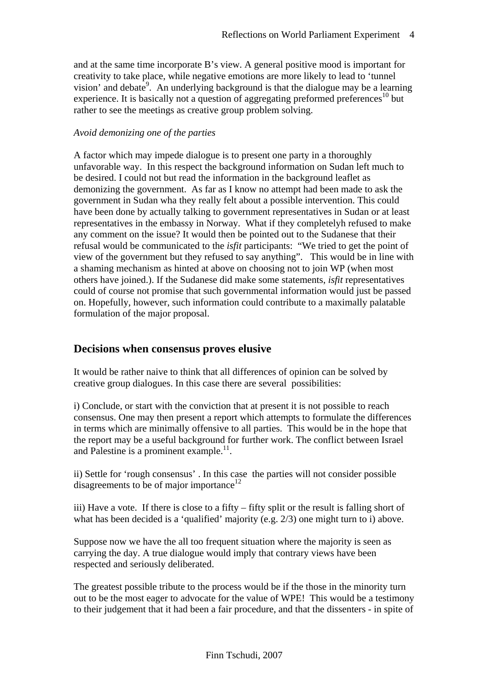and at the same time incorporate B's view. A general positive mood is important for creativity to take place, while negative emotions are more likely to lead to 'tunnel vision' and debate<sup>9</sup>. An underlying background is that the dialogue may be a learning experience. It is basically not a question of aggregating preformed preferences<sup>10</sup> but rather to see the meetings as creative group problem solving.

#### *Avoid demonizing one of the parties*

A factor which may impede dialogue is to present one party in a thoroughly unfavorable way. In this respect the background information on Sudan left much to be desired. I could not but read the information in the background leaflet as demonizing the government. As far as I know no attempt had been made to ask the government in Sudan wha they really felt about a possible intervention. This could have been done by actually talking to government representatives in Sudan or at least representatives in the embassy in Norway. What if they completelyh refused to make any comment on the issue? It would then be pointed out to the Sudanese that their refusal would be communicated to the *isfit* participants: "We tried to get the point of view of the government but they refused to say anything". This would be in line with a shaming mechanism as hinted at above on choosing not to join WP (when most others have joined.). If the Sudanese did make some statements, *isfit* representatives could of course not promise that such governmental information would just be passed on. Hopefully, however, such information could contribute to a maximally palatable formulation of the major proposal.

### **Decisions when consensus proves elusive**

It would be rather naive to think that all differences of opinion can be solved by creative group dialogues. In this case there are several possibilities:

i) Conclude, or start with the conviction that at present it is not possible to reach consensus. One may then present a report which attempts to formulate the differences in terms which are minimally offensive to all parties. This would be in the hope that the report may be a useful background for further work. The conflict between Israel and Palestine is a prominent example. $11$ .

ii) Settle for 'rough consensus' . In this case the parties will not consider possible disagreements to be of major importance<sup>12</sup>

iii) Have a vote. If there is close to a fifty – fifty split or the result is falling short of what has been decided is a 'qualified' majority (e.g. 2/3) one might turn to i) above.

Suppose now we have the all too frequent situation where the majority is seen as carrying the day. A true dialogue would imply that contrary views have been respected and seriously deliberated.

The greatest possible tribute to the process would be if the those in the minority turn out to be the most eager to advocate for the value of WPE! This would be a testimony to their judgement that it had been a fair procedure, and that the dissenters - in spite of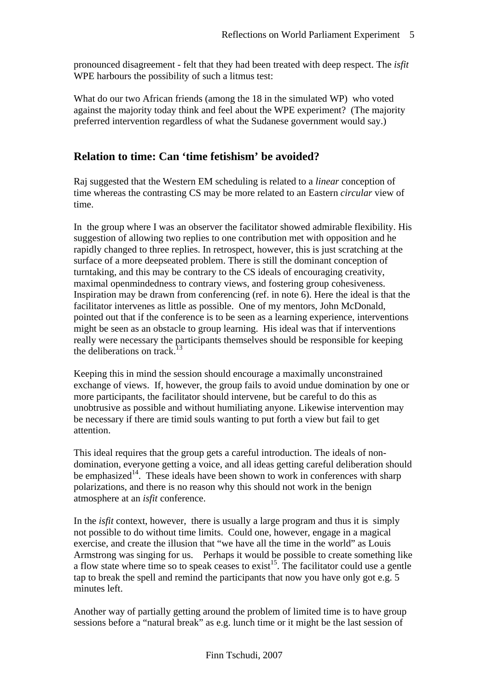pronounced disagreement - felt that they had been treated with deep respect. The *isfit* WPE harbours the possibility of such a litmus test:

What do our two African friends (among the 18 in the simulated WP) who voted against the majority today think and feel about the WPE experiment? (The majority preferred intervention regardless of what the Sudanese government would say.)

## **Relation to time: Can 'time fetishism' be avoided?**

Raj suggested that the Western EM scheduling is related to a *linear* conception of time whereas the contrasting CS may be more related to an Eastern *circular* view of time.

In the group where I was an observer the facilitator showed admirable flexibility. His suggestion of allowing two replies to one contribution met with opposition and he rapidly changed to three replies. In retrospect, however, this is just scratching at the surface of a more deepseated problem. There is still the dominant conception of turntaking, and this may be contrary to the CS ideals of encouraging creativity, maximal openmindedness to contrary views, and fostering group cohesiveness. Inspiration may be drawn from conferencing (ref. in note 6). Here the ideal is that the facilitator intervenes as little as possible. One of my mentors, John McDonald, pointed out that if the conference is to be seen as a learning experience, interventions might be seen as an obstacle to group learning. His ideal was that if interventions really were necessary the participants themselves should be responsible for keeping the deliberations on track.<sup>13</sup>

Keeping this in mind the session should encourage a maximally unconstrained exchange of views. If, however, the group fails to avoid undue domination by one or more participants, the facilitator should intervene, but be careful to do this as unobtrusive as possible and without humiliating anyone. Likewise intervention may be necessary if there are timid souls wanting to put forth a view but fail to get attention.

This ideal requires that the group gets a careful introduction. The ideals of nondomination, everyone getting a voice, and all ideas getting careful deliberation should be emphasized<sup>14</sup>. These ideals have been shown to work in conferences with sharp polarizations, and there is no reason why this should not work in the benign atmosphere at an *isfit* conference.

In the *isfit* context, however, there is usually a large program and thus it is simply not possible to do without time limits. Could one, however, engage in a magical exercise, and create the illusion that "we have all the time in the world" as Louis Armstrong was singing for us. Perhaps it would be possible to create something like a flow state where time so to speak ceases to exist<sup>15</sup>. The facilitator could use a gentle tap to break the spell and remind the participants that now you have only got e.g. 5 minutes left.

Another way of partially getting around the problem of limited time is to have group sessions before a "natural break" as e.g. lunch time or it might be the last session of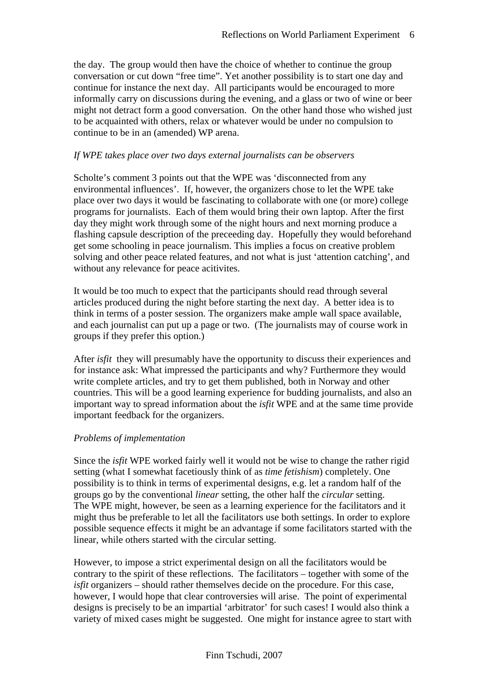the day. The group would then have the choice of whether to continue the group conversation or cut down "free time". Yet another possibility is to start one day and continue for instance the next day. All participants would be encouraged to more informally carry on discussions during the evening, and a glass or two of wine or beer might not detract form a good conversation. On the other hand those who wished just to be acquainted with others, relax or whatever would be under no compulsion to continue to be in an (amended) WP arena.

#### *If WPE takes place over two days external journalists can be observers*

Scholte's comment 3 points out that the WPE was 'disconnected from any environmental influences'. If, however, the organizers chose to let the WPE take place over two days it would be fascinating to collaborate with one (or more) college programs for journalists. Each of them would bring their own laptop. After the first day they might work through some of the night hours and next morning produce a flashing capsule description of the preceeding day. Hopefully they would beforehand get some schooling in peace journalism. This implies a focus on creative problem solving and other peace related features, and not what is just 'attention catching', and without any relevance for peace acitivites.

It would be too much to expect that the participants should read through several articles produced during the night before starting the next day. A better idea is to think in terms of a poster session. The organizers make ample wall space available, and each journalist can put up a page or two. (The journalists may of course work in groups if they prefer this option.)

After *isfit* they will presumably have the opportunity to discuss their experiences and for instance ask: What impressed the participants and why? Furthermore they would write complete articles, and try to get them published, both in Norway and other countries. This will be a good learning experience for budding journalists, and also an important way to spread information about the *isfit* WPE and at the same time provide important feedback for the organizers.

#### *Problems of implementation*

Since the *isfit* WPE worked fairly well it would not be wise to change the rather rigid setting (what I somewhat facetiously think of as *time fetishism*) completely. One possibility is to think in terms of experimental designs, e.g. let a random half of the groups go by the conventional *linear* setting, the other half the *circular* setting. The WPE might, however, be seen as a learning experience for the facilitators and it might thus be preferable to let all the facilitators use both settings. In order to explore possible sequence effects it might be an advantage if some facilitators started with the linear, while others started with the circular setting.

However, to impose a strict experimental design on all the facilitators would be contrary to the spirit of these reflections. The facilitators – together with some of the *isfit* organizers – should rather themselves decide on the procedure. For this case, however, I would hope that clear controversies will arise. The point of experimental designs is precisely to be an impartial 'arbitrator' for such cases! I would also think a variety of mixed cases might be suggested. One might for instance agree to start with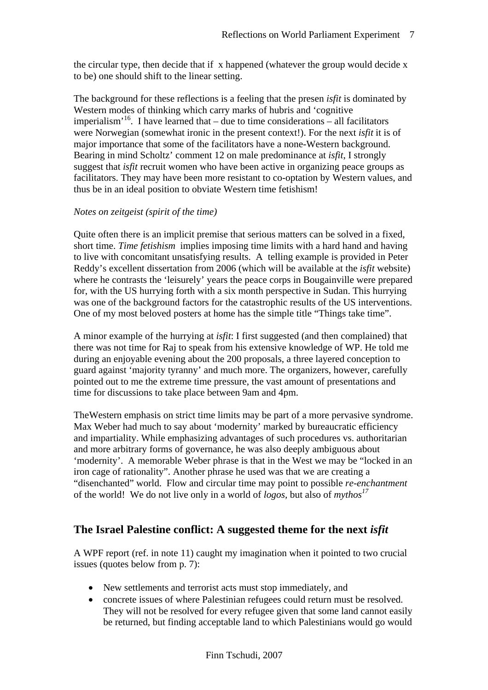the circular type, then decide that if x happened (whatever the group would decide x to be) one should shift to the linear setting.

The background for these reflections is a feeling that the presen *isfit* is dominated by Western modes of thinking which carry marks of hubris and 'cognitive imperialism<sup> $16$ </sup>. I have learned that – due to time considerations – all facilitators were Norwegian (somewhat ironic in the present context!). For the next *isfit* it is of major importance that some of the facilitators have a none-Western background. Bearing in mind Scholtz' comment 12 on male predominance at *isfit*, I strongly suggest that *isfit* recruit women who have been active in organizing peace groups as facilitators. They may have been more resistant to co-optation by Western values, and thus be in an ideal position to obviate Western time fetishism!

#### *Notes on zeitgeist (spirit of the time)*

Quite often there is an implicit premise that serious matters can be solved in a fixed, short time. *Time fetishism* implies imposing time limits with a hard hand and having to live with concomitant unsatisfying results. A telling example is provided in Peter Reddy's excellent dissertation from 2006 (which will be available at the *isfit* website) where he contrasts the 'leisurely' years the peace corps in Bougainville were prepared for, with the US hurrying forth with a six month perspective in Sudan. This hurrying was one of the background factors for the catastrophic results of the US interventions. One of my most beloved posters at home has the simple title "Things take time".

A minor example of the hurrying at *isfit*: I first suggested (and then complained) that there was not time for Raj to speak from his extensive knowledge of WP. He told me during an enjoyable evening about the 200 proposals, a three layered conception to guard against 'majority tyranny' and much more. The organizers, however, carefully pointed out to me the extreme time pressure, the vast amount of presentations and time for discussions to take place between 9am and 4pm.

TheWestern emphasis on strict time limits may be part of a more pervasive syndrome. Max Weber had much to say about 'modernity' marked by bureaucratic efficiency and impartiality. While emphasizing advantages of such procedures vs. authoritarian and more arbitrary forms of governance, he was also deeply ambiguous about 'modernity'. A memorable Weber phrase is that in the West we may be "locked in an iron cage of rationality". Another phrase he used was that we are creating a "disenchanted" world. Flow and circular time may point to possible *re-enchantment* of the world! We do not live only in a world of *logos,* but also of *mythos<sup>17</sup>*

## **The Israel Palestine conflict: A suggested theme for the next** *isfit*

A WPF report (ref. in note 11) caught my imagination when it pointed to two crucial issues (quotes below from p. 7):

- New settlements and terrorist acts must stop immediately, and
- concrete issues of where Palestinian refugees could return must be resolved. They will not be resolved for every refugee given that some land cannot easily be returned, but finding acceptable land to which Palestinians would go would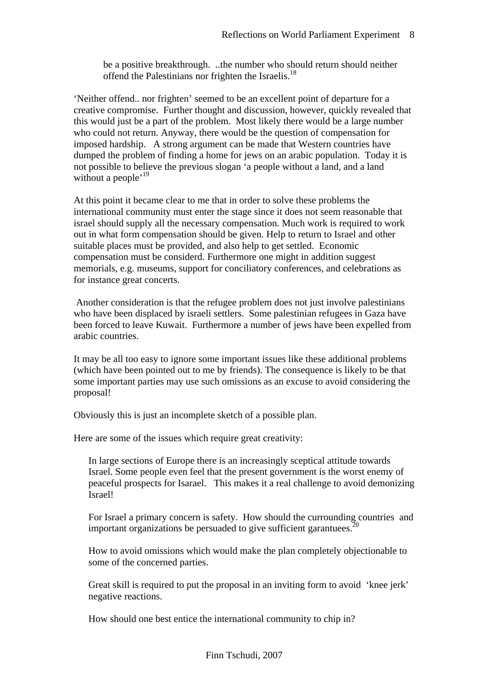be a positive breakthrough. ..the number who should return should neither offend the Palestinians nor frighten the Israelis.<sup>18</sup>

'Neither offend.. nor frighten' seemed to be an excellent point of departure for a creative compromise. Further thought and discussion, however, quickly revealed that this would just be a part of the problem. Most likely there would be a large number who could not return. Anyway, there would be the question of compensation for imposed hardship. A strong argument can be made that Western countries have dumped the problem of finding a home for jews on an arabic population. Today it is not possible to believe the previous slogan 'a people without a land, and a land without a people<sup>, 19</sup>

At this point it became clear to me that in order to solve these problems the international community must enter the stage since it does not seem reasonable that israel should supply all the necessary compensation. Much work is required to work out in what form compensation should be given. Help to return to Israel and other suitable places must be provided, and also help to get settled. Economic compensation must be considerd. Furthermore one might in addition suggest memorials, e.g. museums, support for conciliatory conferences, and celebrations as for instance great concerts.

 Another consideration is that the refugee problem does not just involve palestinians who have been displaced by israeli settlers. Some palestinian refugees in Gaza have been forced to leave Kuwait. Furthermore a number of jews have been expelled from arabic countries.

It may be all too easy to ignore some important issues like these additional problems (which have been pointed out to me by friends). The consequence is likely to be that some important parties may use such omissions as an excuse to avoid considering the proposal!

Obviously this is just an incomplete sketch of a possible plan.

Here are some of the issues which require great creativity:

In large sections of Europe there is an increasingly sceptical attitude towards Israel. Some people even feel that the present government is the worst enemy of peaceful prospects for Isarael. This makes it a real challenge to avoid demonizing Israel!

For Israel a primary concern is safety. How should the currounding countries and important organizations be persuaded to give sufficient garantuees.<sup>20</sup>

How to avoid omissions which would make the plan completely objectionable to some of the concerned parties.

Great skill is required to put the proposal in an inviting form to avoid 'knee jerk' negative reactions.

How should one best entice the international community to chip in?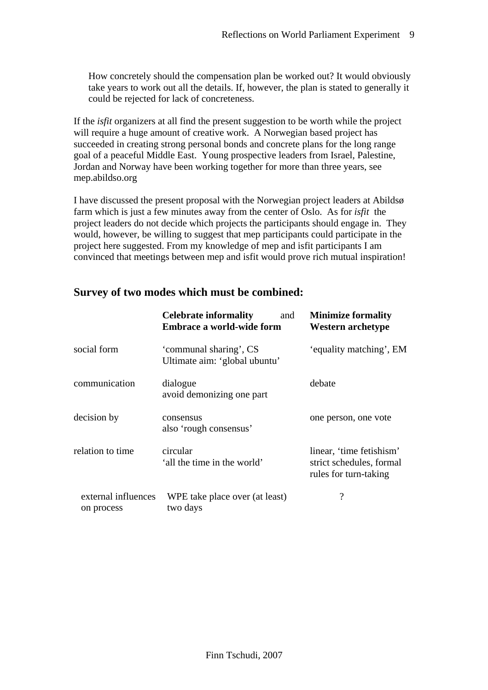How concretely should the compensation plan be worked out? It would obviously take years to work out all the details. If, however, the plan is stated to generally it could be rejected for lack of concreteness.

If the *isfit* organizers at all find the present suggestion to be worth while the project will require a huge amount of creative work. A Norwegian based project has succeeded in creating strong personal bonds and concrete plans for the long range goal of a peaceful Middle East. Young prospective leaders from Israel, Palestine, Jordan and Norway have been working together for more than three years, see mep.abildso.org

I have discussed the present proposal with the Norwegian project leaders at Abildsø farm which is just a few minutes away from the center of Oslo. As for *isfit* the project leaders do not decide which projects the participants should engage in. They would, however, be willing to suggest that mep participants could participate in the project here suggested. From my knowledge of mep and isfit participants I am convinced that meetings between mep and isfit would prove rich mutual inspiration!

|                                   | <b>Celebrate informality</b><br>and<br><b>Embrace a world-wide form</b> | <b>Minimize formality</b><br><b>Western archetype</b>                         |
|-----------------------------------|-------------------------------------------------------------------------|-------------------------------------------------------------------------------|
| social form                       | 'communal sharing', CS<br>Ultimate aim: 'global ubuntu'                 | 'equality matching', EM                                                       |
| communication                     | dialogue<br>avoid demonizing one part                                   | debate                                                                        |
| decision by                       | consensus<br>also 'rough consensus'                                     | one person, one vote                                                          |
| relation to time                  | circular<br>'all the time in the world'                                 | linear, 'time fetishism'<br>strict schedules, formal<br>rules for turn-taking |
| external influences<br>on process | WPE take place over (at least)<br>two days                              | $\overline{\cdot}$                                                            |

#### **Survey of two modes which must be combined:**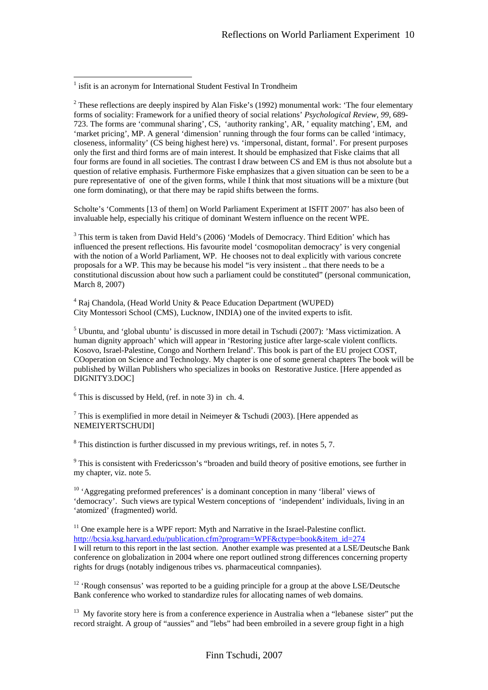$\overline{a}$ 

<sup>2</sup> These reflections are deeply inspired by Alan Fiske's (1992) monumental work: 'The four elementary forms of sociality: Framework for a unified theory of social relations' *Psychological Review, 99*, 689- 723. The forms are 'communal sharing', CS, 'authority ranking', AR, ' equality matching', EM, and 'market pricing', MP. A general 'dimension' running through the four forms can be called 'intimacy, closeness, informality' (CS being highest here) vs. 'impersonal, distant, formal'. For present purposes only the first and third forms are of main interest. It should be emphasized that Fiske claims that all four forms are found in all societies. The contrast I draw between CS and EM is thus not absolute but a question of relative emphasis. Furthermore Fiske emphasizes that a given situation can be seen to be a pure representative of one of the given forms, while I think that most situations will be a mixture (but one form dominating), or that there may be rapid shifts between the forms.

Scholte's 'Comments [13 of them] on World Parliament Experiment at ISFIT 2007' has also been of invaluable help, especially his critique of dominant Western influence on the recent WPE.

<sup>3</sup> This term is taken from David Held's (2006) 'Models of Democracy. Third Edition' which has influenced the present reflections. His favourite model 'cosmopolitan democracy' is very congenial with the notion of a World Parliament, WP. He chooses not to deal explicitly with various concrete proposals for a WP. This may be because his model "is very insistent .. that there needs to be a constitutional discussion about how such a parliament could be constituted" (personal communication, March 8, 2007)

<sup>4</sup> Raj Chandola, (Head World Unity & Peace Education Department (WUPED) City Montessori School (CMS), Lucknow, INDIA) one of the invited experts to isfit.

 $<sup>5</sup>$  Ubuntu, and 'global ubuntu' is discussed in more detail in Tschudi (2007): 'Mass victimization. A</sup> human dignity approach' which will appear in 'Restoring justice after large-scale violent conflicts. Kosovo, Israel-Palestine, Congo and Northern Ireland'. This book is part of the EU project COST, COoperation on Science and Technology. My chapter is one of some general chapters The book will be published by Willan Publishers who specializes in books on Restorative Justice. [Here appended as DIGNITY3.DOC]

 $6$  This is discussed by Held, (ref. in note 3) in ch. 4.

<sup>7</sup> This is exemplified in more detail in Neimeyer & Tschudi (2003). [Here appended as NEMEIYERTSCHUDI]

 $8$  This distinction is further discussed in my previous writings, ref. in notes 5, 7.

<sup>9</sup> This is consistent with Fredericsson's "broaden and build theory of positive emotions, see further in my chapter, viz. note 5.

<sup>10</sup> 'Aggregating preformed preferences' is a dominant conception in many 'liberal' views of 'democracy'. Such views are typical Western conceptions of 'independent' individuals, living in an 'atomized' (fragmented) world.

 $11$  One example here is a WPF report: Myth and Narrative in the Israel-Palestine conflict. http://bcsia.ksg.harvard.edu/publication.cfm?program=WPF&ctype=book&item\_id=274 I will return to this report in the last section. Another example was presented at a LSE/Deutsche Bank conference on globalization in 2004 where one report outlined strong differences concerning property rights for drugs (notably indigenous tribes vs. pharmaceutical comnpanies).

 $12$  'Rough consensus' was reported to be a guiding principle for a group at the above LSE/Deutsche Bank conference who worked to standardize rules for allocating names of web domains.

<sup>13</sup> My favorite story here is from a conference experience in Australia when a "lebanese sister" put the record straight. A group of "aussies" and "lebs" had been embroiled in a severe group fight in a high

<sup>&</sup>lt;sup>1</sup> isfit is an acronym for International Student Festival In Trondheim